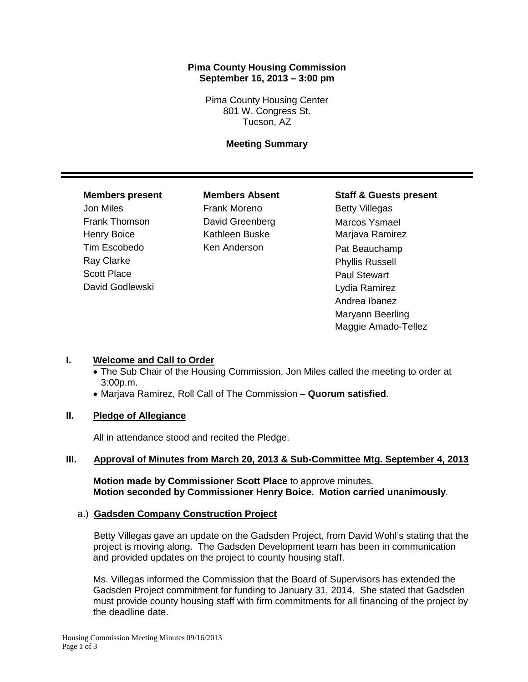## **Pima County Housing Commission September 16, 2013 – 3:00 pm**

Pima County Housing Center 801 W. Congress St. Tucson, AZ

## **Meeting Summary**

Tim Escobedo Ken Anderson Pat Beauchamp Ray Clarke **Phyllis Russell** Scott Place **Paul Stewart** Paul Stewart David Godlewski **David Godlewski** Manus Ramirez

Jon Miles **Frank Moreno** Betty Villegas Frank Thomson **David Greenberg** Marcos Ysmael Henry Boice **Kathleen Buske** Marjava Ramirez

## **Members present Members Absent Staff & Guests present**

Andrea Ibanez Maryann Beerling Maggie Amado-Tellez

# **I. Welcome and Call to Order**

- The Sub Chair of the Housing Commission, Jon Miles called the meeting to order at 3:00p.m.
- Marjava Ramirez, Roll Call of The Commission **Quorum satisfied**.

# **II. Pledge of Allegiance**

All in attendance stood and recited the Pledge.

#### **III. Approval of Minutes from March 20, 2013 & Sub-Committee Mtg. September 4, 2013**

**Motion made by Commissioner Scott Place** to approve minutes. **Motion seconded by Commissioner Henry Boice. Motion carried unanimously**.

#### a.) **Gadsden Company Construction Project**

 Betty Villegas gave an update on the Gadsden Project, from David Wohl's stating that the project is moving along. The Gadsden Development team has been in communication and provided updates on the project to county housing staff.

Ms. Villegas informed the Commission that the Board of Supervisors has extended the Gadsden Project commitment for funding to January 31, 2014. She stated that Gadsden must provide county housing staff with firm commitments for all financing of the project by the deadline date.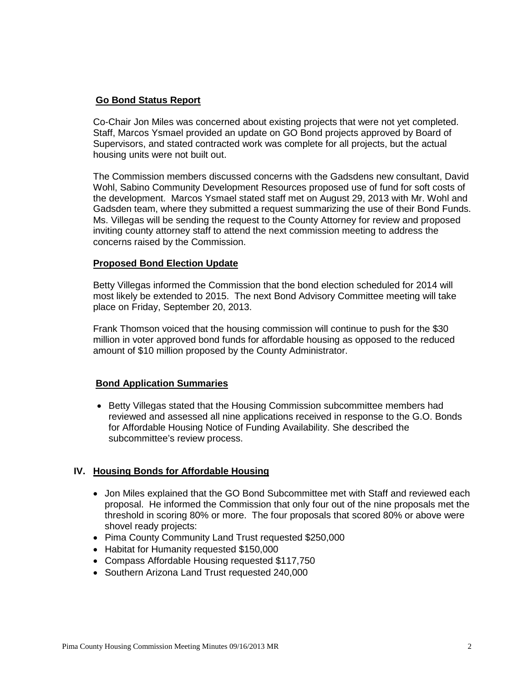## **Go Bond Status Report**

Co-Chair Jon Miles was concerned about existing projects that were not yet completed. Staff, Marcos Ysmael provided an update on GO Bond projects approved by Board of Supervisors, and stated contracted work was complete for all projects, but the actual housing units were not built out.

The Commission members discussed concerns with the Gadsdens new consultant, David Wohl, Sabino Community Development Resources proposed use of fund for soft costs of the development. Marcos Ysmael stated staff met on August 29, 2013 with Mr. Wohl and Gadsden team, where they submitted a request summarizing the use of their Bond Funds. Ms. Villegas will be sending the request to the County Attorney for review and proposed inviting county attorney staff to attend the next commission meeting to address the concerns raised by the Commission.

#### **Proposed Bond Election Update**

Betty Villegas informed the Commission that the bond election scheduled for 2014 will most likely be extended to 2015. The next Bond Advisory Committee meeting will take place on Friday, September 20, 2013.

Frank Thomson voiced that the housing commission will continue to push for the \$30 million in voter approved bond funds for affordable housing as opposed to the reduced amount of \$10 million proposed by the County Administrator.

# **Bond Application Summaries**

• Betty Villegas stated that the Housing Commission subcommittee members had reviewed and assessed all nine applications received in response to the G.O. Bonds for Affordable Housing Notice of Funding Availability. She described the subcommittee's review process.

# **IV. Housing Bonds for Affordable Housing**

- Jon Miles explained that the GO Bond Subcommittee met with Staff and reviewed each proposal. He informed the Commission that only four out of the nine proposals met the threshold in scoring 80% or more. The four proposals that scored 80% or above were shovel ready projects:
- Pima County Community Land Trust requested \$250,000
- Habitat for Humanity requested \$150,000
- Compass Affordable Housing requested \$117,750
- Southern Arizona Land Trust requested 240,000